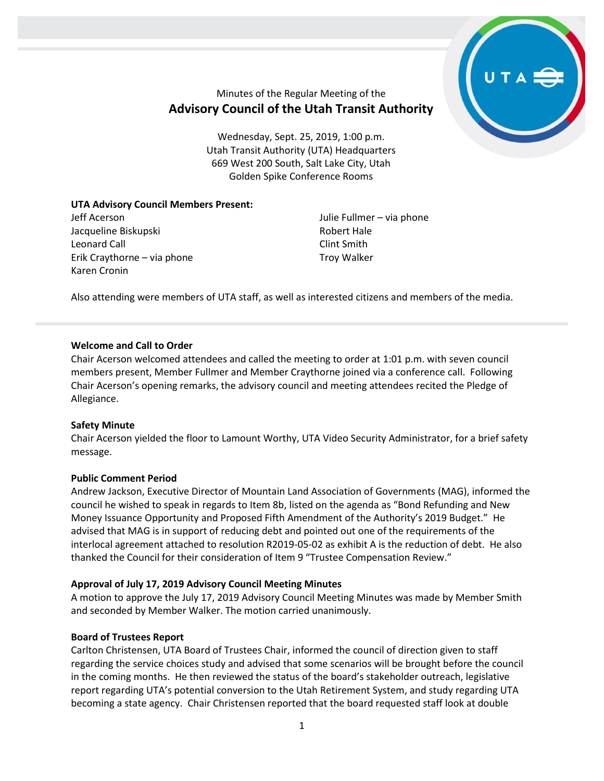

# Minutes of the Regular Meeting of the **Advisory Council of the Utah Transit Authority**

Wednesday, Sept. 25, 2019, 1:00 p.m. Utah Transit Authority (UTA) Headquarters 669 West 200 South, Salt Lake City, Utah Golden Spike Conference Rooms

## **UTA Advisory Council Members Present:**

Jeff Acerson Jacqueline Biskupski Leonard Call Erik Craythorne – via phone Karen Cronin

Julie Fullmer – via phone Robert Hale Clint Smith Troy Walker

Also attending were members of UTA staff, as well as interested citizens and members of the media.

## **Welcome and Call to Order**

Chair Acerson welcomed attendees and called the meeting to order at 1:01 p.m. with seven council members present, Member Fullmer and Member Craythorne joined via a conference call. Following Chair Acerson's opening remarks, the advisory council and meeting attendees recited the Pledge of Allegiance.

## **Safety Minute**

Chair Acerson yielded the floor to Lamount Worthy, UTA Video Security Administrator, for a brief safety message.

## **Public Comment Period**

Andrew Jackson, Executive Director of Mountain Land Association of Governments (MAG), informed the council he wished to speak in regards to Item 8b, listed on the agenda as "Bond Refunding and New Money Issuance Opportunity and Proposed Fifth Amendment of the Authority's 2019 Budget." He advised that MAG is in support of reducing debt and pointed out one of the requirements of the interlocal agreement attached to resolution R2019-05-02 as exhibit A is the reduction of debt. He also thanked the Council for their consideration of Item 9 "Trustee Compensation Review."

#### **Approval of July 17, 2019 Advisory Council Meeting Minutes**

A motion to approve the July 17, 2019 Advisory Council Meeting Minutes was made by Member Smith and seconded by Member Walker. The motion carried unanimously.

#### **Board of Trustees Report**

Carlton Christensen, UTA Board of Trustees Chair, informed the council of direction given to staff regarding the service choices study and advised that some scenarios will be brought before the council in the coming months. He then reviewed the status of the board's stakeholder outreach, legislative report regarding UTA's potential conversion to the Utah Retirement System, and study regarding UTA becoming a state agency. Chair Christensen reported that the board requested staff look at double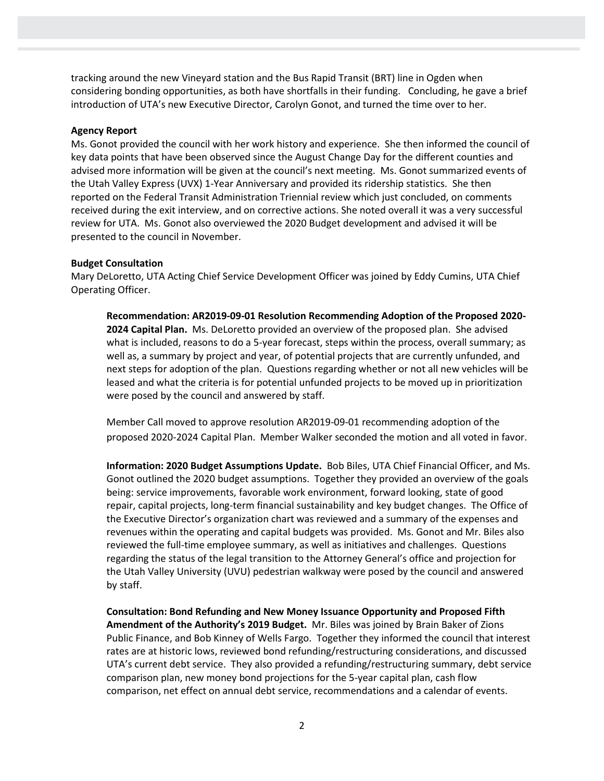tracking around the new Vineyard station and the Bus Rapid Transit (BRT) line in Ogden when considering bonding opportunities, as both have shortfalls in their funding. Concluding, he gave a brief introduction of UTA's new Executive Director, Carolyn Gonot, and turned the time over to her.

### **Agency Report**

Ms. Gonot provided the council with her work history and experience. She then informed the council of key data points that have been observed since the August Change Day for the different counties and advised more information will be given at the council's next meeting. Ms. Gonot summarized events of the Utah Valley Express (UVX) 1-Year Anniversary and provided its ridership statistics. She then reported on the Federal Transit Administration Triennial review which just concluded, on comments received during the exit interview, and on corrective actions. She noted overall it was a very successful review for UTA. Ms. Gonot also overviewed the 2020 Budget development and advised it will be presented to the council in November.

#### **Budget Consultation**

Mary DeLoretto, UTA Acting Chief Service Development Officer was joined by Eddy Cumins, UTA Chief Operating Officer.

**Recommendation: AR2019-09-01 Resolution Recommending Adoption of the Proposed 2020- 2024 Capital Plan.** Ms. DeLoretto provided an overview of the proposed plan. She advised what is included, reasons to do a 5-year forecast, steps within the process, overall summary; as well as, a summary by project and year, of potential projects that are currently unfunded, and next steps for adoption of the plan. Questions regarding whether or not all new vehicles will be leased and what the criteria is for potential unfunded projects to be moved up in prioritization were posed by the council and answered by staff.

Member Call moved to approve resolution AR2019-09-01 recommending adoption of the proposed 2020-2024 Capital Plan. Member Walker seconded the motion and all voted in favor.

**Information: 2020 Budget Assumptions Update.** Bob Biles, UTA Chief Financial Officer, and Ms. Gonot outlined the 2020 budget assumptions. Together they provided an overview of the goals being: service improvements, favorable work environment, forward looking, state of good repair, capital projects, long-term financial sustainability and key budget changes. The Office of the Executive Director's organization chart was reviewed and a summary of the expenses and revenues within the operating and capital budgets was provided. Ms. Gonot and Mr. Biles also reviewed the full-time employee summary, as well as initiatives and challenges. Questions regarding the status of the legal transition to the Attorney General's office and projection for the Utah Valley University (UVU) pedestrian walkway were posed by the council and answered by staff.

**Consultation: Bond Refunding and New Money Issuance Opportunity and Proposed Fifth Amendment of the Authority's 2019 Budget.** Mr. Biles was joined by Brain Baker of Zions Public Finance, and Bob Kinney of Wells Fargo. Together they informed the council that interest rates are at historic lows, reviewed bond refunding/restructuring considerations, and discussed UTA's current debt service. They also provided a refunding/restructuring summary, debt service comparison plan, new money bond projections for the 5-year capital plan, cash flow comparison, net effect on annual debt service, recommendations and a calendar of events.